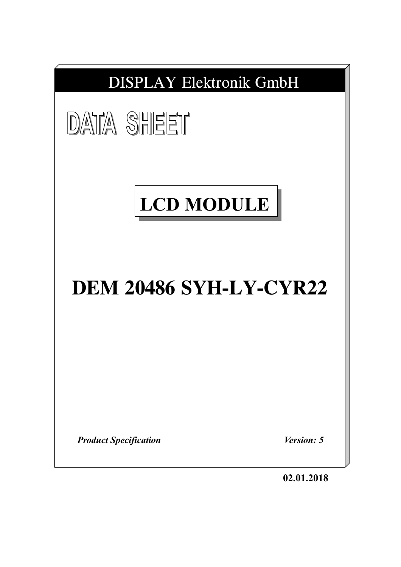| <b>DISPLAY Elektronik GmbH</b> |            |
|--------------------------------|------------|
| <b>DATA SHEET</b>              |            |
| <b>LCD MODULE</b>              |            |
| <b>DEM 20486 SYH-LY-CYR22</b>  |            |
|                                |            |
| <b>Product Specification</b>   | Version: 5 |

**02.01.2018**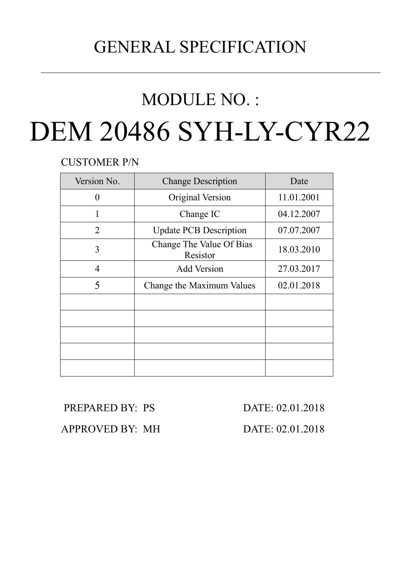# GENERAL SPECIFICATION

# MODULE NO. :

# DEM 20486 SYH-LY-CYR22

CUSTOMER P/N

| Version No.    | <b>Change Description</b>            | Date       |  |  |
|----------------|--------------------------------------|------------|--|--|
| 0              | Original Version                     | 11.01.2001 |  |  |
|                | Change IC                            | 04.12.2007 |  |  |
| $\overline{2}$ | <b>Update PCB Description</b>        | 07.07.2007 |  |  |
| 3              | Change The Value Of Bias<br>Resistor | 18.03.2010 |  |  |
| $\overline{4}$ | <b>Add Version</b>                   | 27.03.2017 |  |  |
| 5              | Change the Maximum Values            | 02.01.2018 |  |  |
|                |                                      |            |  |  |
|                |                                      |            |  |  |
|                |                                      |            |  |  |
|                |                                      |            |  |  |
|                |                                      |            |  |  |

PREPARED BY: PS DATE: 02.01.2018

APPROVED BY: MH DATE: 02.01.2018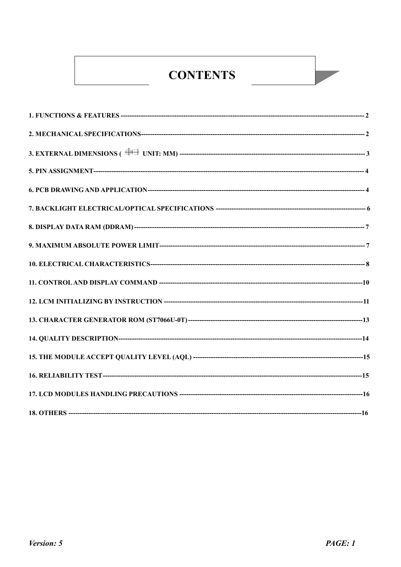# **CONTENTS**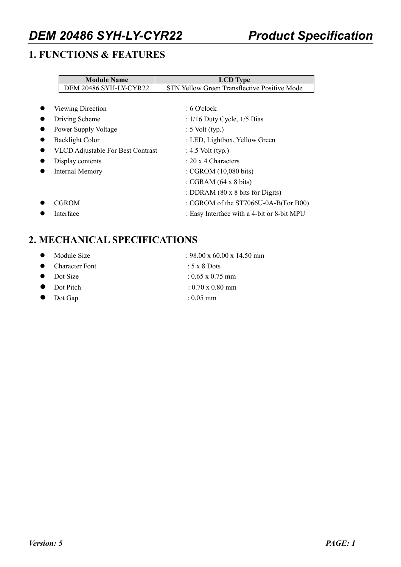# **1. FUNCTIONS & FEATURES**

| <b>Module Name</b>                       | <b>LCD</b> Type                              |
|------------------------------------------|----------------------------------------------|
| DEM 20486 SYH-LY-CYR22                   | STN Yellow Green Transflective Positive Mode |
|                                          |                                              |
| Viewing Direction                        | $\pm 6$ O'clock                              |
| Driving Scheme                           | : $1/16$ Duty Cycle, $1/5$ Bias              |
| Power Supply Voltage                     | $: 5$ Volt (typ.)                            |
| Backlight Color                          | : LED, Lightbox, Yellow Green                |
| <b>VLCD</b> Adjustable For Best Contrast | : $4.5$ Volt (typ.)                          |
| Display contents                         | : $20 \times 4$ Characters                   |
| Internal Memory                          | : CGROM (10,080 bits)                        |
|                                          | : CGRAM $(64 \times 8 \text{ bits})$         |
|                                          | : DDRAM $(80 \times 8)$ bits for Digits)     |
| <b>CGROM</b>                             | : CGROM of the ST7066U-0A-B(For B00)         |
| Interface                                | : Easy Interface with a 4-bit or 8-bit MPU   |

# **2. MECHANICAL SPECIFICATIONS**

| $\bullet$ Module Size | $: 98.00 \times 60.00 \times 14.50$ mm |
|-----------------------|----------------------------------------|
|                       |                                        |
| • Character Font      | : $5 \times 8$ Dots                    |
| $\bullet$ Dot Size    | $: 0.65 \times 0.75$ mm                |
|                       |                                        |

- 
- 

- $\bullet$  Dot Pitch : 0.70 x 0.80 mm
- l Dot Gap : 0.05 mm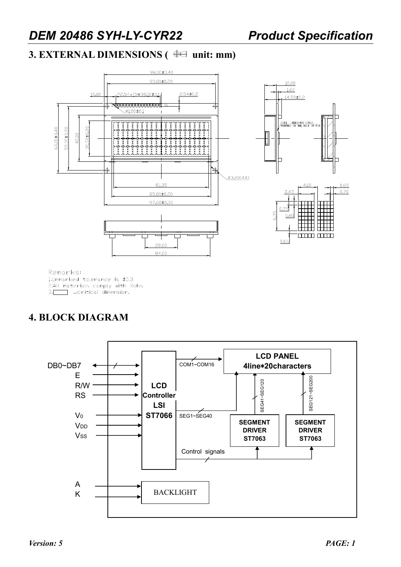$10.00$ 1.60

# **3. EXTERNAL DIMENSIONS (** $\oplus\cong$  **unit: mm)**





Remarks: 1.Unmarked tolerance is ±0.3 2.All materials comply with Rohs 3. Critical dimension.

# **4. BLOCK DIAGRAM**

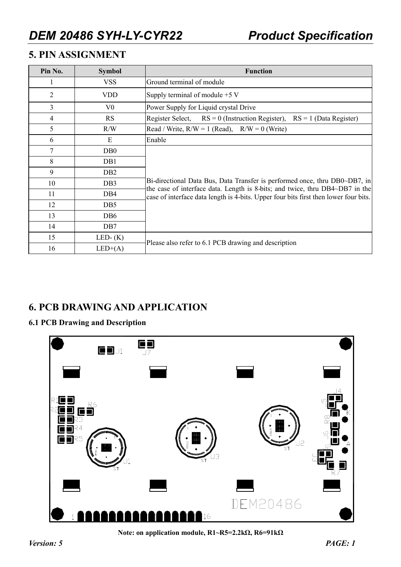# **5. PIN ASSIGNMENT**

| Pin No.        | <b>Function</b><br><b>Symbol</b> |                                                                                                                                                            |  |  |  |  |  |  |  |  |  |
|----------------|----------------------------------|------------------------------------------------------------------------------------------------------------------------------------------------------------|--|--|--|--|--|--|--|--|--|
|                | <b>VSS</b>                       | Ground terminal of module                                                                                                                                  |  |  |  |  |  |  |  |  |  |
| $\overline{2}$ | <b>VDD</b>                       | Supply terminal of module $+5$ V                                                                                                                           |  |  |  |  |  |  |  |  |  |
| 3              | $V_{0}$                          | Power Supply for Liquid crystal Drive                                                                                                                      |  |  |  |  |  |  |  |  |  |
| 4              | <b>RS</b>                        | $RS = 1$ (Data Register)<br>Register Select,<br>$RS = 0$ (Instruction Register),                                                                           |  |  |  |  |  |  |  |  |  |
| 5              | R/W                              | Read / Write, $R/W = 1$ (Read), $R/W = 0$ (Write)                                                                                                          |  |  |  |  |  |  |  |  |  |
| 6              | E                                | Enable                                                                                                                                                     |  |  |  |  |  |  |  |  |  |
| 7              | DB <sub>0</sub>                  |                                                                                                                                                            |  |  |  |  |  |  |  |  |  |
| 8              | DB1                              |                                                                                                                                                            |  |  |  |  |  |  |  |  |  |
| 9              | DB <sub>2</sub>                  |                                                                                                                                                            |  |  |  |  |  |  |  |  |  |
| 10             | DB <sub>3</sub>                  | Bi-directional Data Bus, Data Transfer is performed once, thru DB0~DB7, in<br>the case of interface data. Length is 8-bits; and twice, thru DB4~DB7 in the |  |  |  |  |  |  |  |  |  |
| 11             | DB4                              | case of interface data length is 4-bits. Upper four bits first then lower four bits.                                                                       |  |  |  |  |  |  |  |  |  |
| 12             | D <sub>B5</sub>                  |                                                                                                                                                            |  |  |  |  |  |  |  |  |  |
| 13             | DB <sub>6</sub>                  |                                                                                                                                                            |  |  |  |  |  |  |  |  |  |
| 14             | DB7                              |                                                                                                                                                            |  |  |  |  |  |  |  |  |  |
| 15             | LED- $(K)$                       |                                                                                                                                                            |  |  |  |  |  |  |  |  |  |
| 16             | $LED+(A)$                        | Please also refer to 6.1 PCB drawing and description                                                                                                       |  |  |  |  |  |  |  |  |  |

# **6. PCB DRAWING AND APPLICATION**

### **6.1 PCB Drawing and Description**



**Note: on application module, R1~R5=2.2kΩ, R6=91kΩ**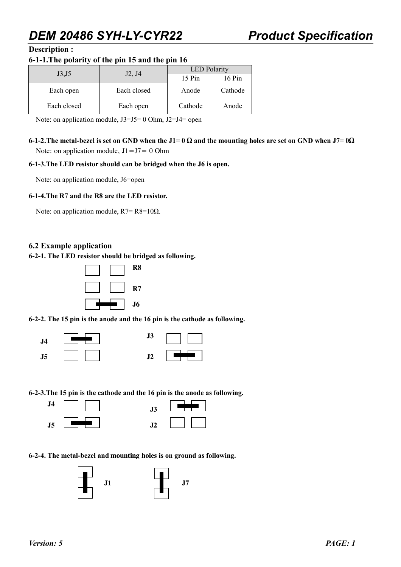#### **Description :**

#### **6-1-1.The polarity of the pin 15 and the pin 16**

| J3, J5      |                                 | <b>LED</b> Polarity |         |  |  |  |  |
|-------------|---------------------------------|---------------------|---------|--|--|--|--|
|             | J <sub>2</sub> , J <sub>4</sub> | 15 Pin              | 16 Pin  |  |  |  |  |
| Each open   | Each closed                     | Anode               | Cathode |  |  |  |  |
| Each closed | Each open                       | Cathode             | Anode   |  |  |  |  |

Note: on application module, J3=J5= 0 Ohm, J2=J4= open

**6-1-2.** The metal-bezel is set on GND when the  $J1=0$   $\Omega$  and the mounting holes are set on GND when  $J7=0\Omega$ Note: on application module,  $J1 = J7 = 0$  Ohm

#### **6-1-3.The LED resistor should can be bridged when the J6 is open.**

Note: on application module, J6=open

#### **6-1-4.The R7 and the R8 are the LED resistor.**

Note: on application module,  $R7 = R8 = 10\Omega$ .

#### **6.2 Example application**

**6-2-1. The LED resistor should be bridged as following.** 



**6-2-2. The 15 pin is the anode and the 16 pin is the cathode as following.** 



**6-2-3.The 15 pin is the cathode and the 16 pin is the anode as following.** 



| $\mathbf{J}3$ |  |
|---------------|--|
| J<br>ι.       |  |

**6-2-4. The metal-bezel and mounting holes is on ground as following.** 

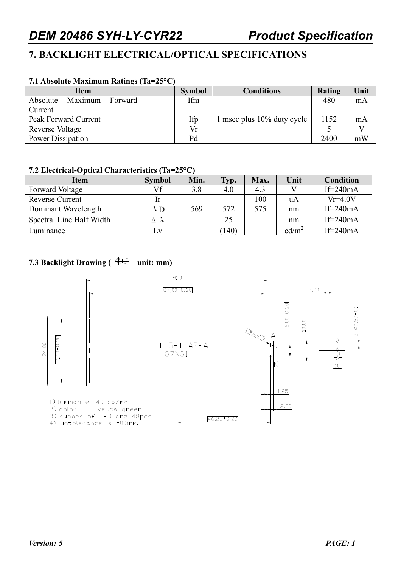# **7. BACKLIGHT ELECTRICAL/OPTICAL SPECIFICATIONS**

#### **7.1 Absolute Maximum Ratings (Ta=25°C)**

| Item                           | <b>Symbol</b> | <b>Conditions</b>          | Rating | Unit |
|--------------------------------|---------------|----------------------------|--------|------|
| Absolute<br>Maximum<br>Forward | Ifm           |                            | 480    | mA   |
| Current                        |               |                            |        |      |
| Peak Forward Current           | Ifp           | 1 msec plus 10% duty cycle | 1152   | mA   |
| Reverse Voltage                | Vr            |                            |        |      |
| <b>Power Dissipation</b>       | Pd            |                            | 2400   | mW   |

#### **7.2 Electrical-Optical Characteristics (Ta=25°C)**

| Item                     | <b>Symbol</b>      | Min. | Typ. | Max. | Unit            | <b>Condition</b> |
|--------------------------|--------------------|------|------|------|-----------------|------------------|
| <b>Forward Voltage</b>   | Vf                 | 3.8  | 4.0  | 4.3  |                 | If= $240mA$      |
| Reverse Current          | -lr                |      |      | 100  | uA              | $Vr=4.0V$        |
| Dominant Wavelength      | $\lambda$ D        | 569  | 572  | 575  | nm              | If= $240mA$      |
| Spectral Line Half Width | $\Delta$ $\lambda$ |      | 25   |      | nm              | If= $240mA$      |
| Luminance                | LV                 |      | 140) |      | $\text{cd/m}^2$ | If= $240mA$      |

### **7.3 Backlight Drawing (** $\bigoplus$  **unit: mm)**

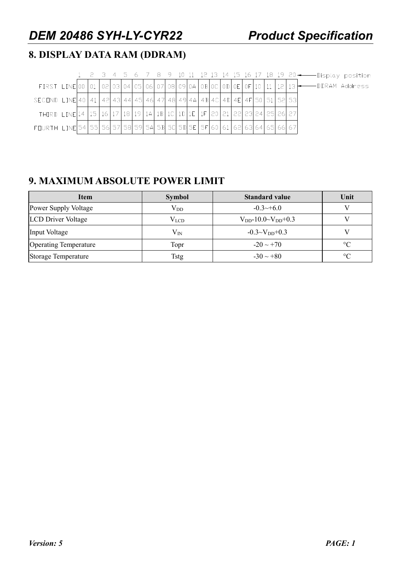# **8. DISPLAY DATA RAM (DDRAM)**

|                                                                                                              |  |  |  |  |  |  |  |  |  |  | FIRST LINE 00 01 02 03 04 05 06 07 08 09 04 08 00 00 00 00 10 10 11 $12$ 13 $\rightarrow$ DDRAM Address |
|--------------------------------------------------------------------------------------------------------------|--|--|--|--|--|--|--|--|--|--|---------------------------------------------------------------------------------------------------------|
|                                                                                                              |  |  |  |  |  |  |  |  |  |  |                                                                                                         |
| THIRD LINE 14   15   16   17   18   19   14   15   16   10   15   16   17   20   21   22   23   24   25   26 |  |  |  |  |  |  |  |  |  |  |                                                                                                         |
| FOURTH LINE 54 55 56 57 58 59 54 58 50 50 51 55 60 61 62 63 64 65 66 67                                      |  |  |  |  |  |  |  |  |  |  |                                                                                                         |

# **9. MAXIMUM ABSOLUTE POWER LIMIT**

| <b>Item</b>                  | <b>Symbol</b> | <b>Standard value</b>           | Unit    |
|------------------------------|---------------|---------------------------------|---------|
| Power Supply Voltage         | $\rm V_{DD}$  | $-0.3 \rightarrow +6.0$         |         |
| <b>LCD</b> Driver Voltage    | $V_{LCD}$     | $V_{DD}$ -10.0~ $V_{DD}$ +0.3   |         |
| Input Voltage                | $\rm V_{IN}$  | $-0.3 \sim V_{\text{DD}} + 0.3$ |         |
| <b>Operating Temperature</b> | Topr          | $-20 \sim +70$                  | $\circ$ |
| Storage Temperature          | <b>Tstg</b>   | $-30 \sim +80$                  | $\circ$ |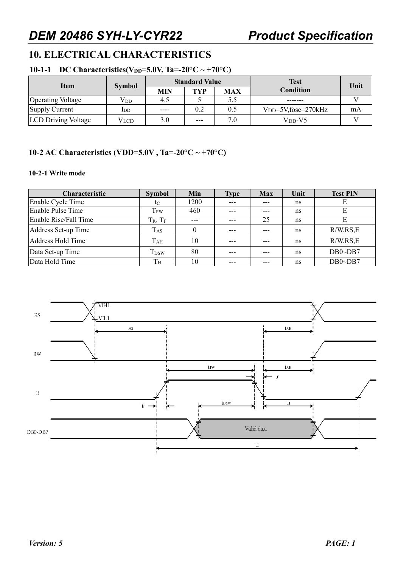# **10. ELECTRICAL CHARACTERISTICS**

#### **10-1-1** DC Characteristics(V<sub>DD</sub>=5.0V, Ta=-20°C ~ +70°C)

| Item                       | <b>Symbol</b> |            | <b>Standard Value</b> | <b>Test</b> | Unit                    |    |
|----------------------------|---------------|------------|-----------------------|-------------|-------------------------|----|
|                            |               | <b>MIN</b> | TYP                   | <b>MAX</b>  | <b>Condition</b>        |    |
| <b>Operating Voltage</b>   | $\rm V_{DD}$  | 4.5        |                       | 5.5         |                         |    |
| Supply Current             | IDD           | $---$      | 0.2                   | 0.5         | $VDD=5V$ , fosc=270 kHz | mA |
| <b>LCD Driving Voltage</b> | Vlcd          | 3.0        | $---$                 | 7.0         | $V_{\rm DD}$ -V5        |    |

#### **10-2 AC Characteristics (VDD=5.0V , Ta=-20°C ~ +70°C)**

#### **10-2-1 Write mode**

| <b>Characteristic</b> | <b>Symbol</b>    | Min      | Type  | <b>Max</b> | Unit | <b>Test PIN</b> |
|-----------------------|------------------|----------|-------|------------|------|-----------------|
| Enable Cycle Time     | $t_{\rm C}$      | 1200     |       |            | ns   | Е               |
| Enable Pulse Time     | T <sub>PW</sub>  | 460      | $---$ |            | ns   | Е               |
| Enable Rise/Fall Time | $T_R$ , $T_F$    |          |       | 25         | ns   | E               |
| Address Set-up Time   | $T_{AS}$         | $\Omega$ |       |            | ns   | R/W, RS, E      |
| Address Hold Time     | $T_{AH}$         | 10       |       |            | ns   | R/W, RS, E      |
| Data Set-up Time      | T <sub>DSW</sub> | 80       |       |            | ns   | $DB0\neg DB7$   |
| Data Hold Time        | $T_{\rm H}$      | 10       |       |            | ns   | $DB0\neg DB7$   |

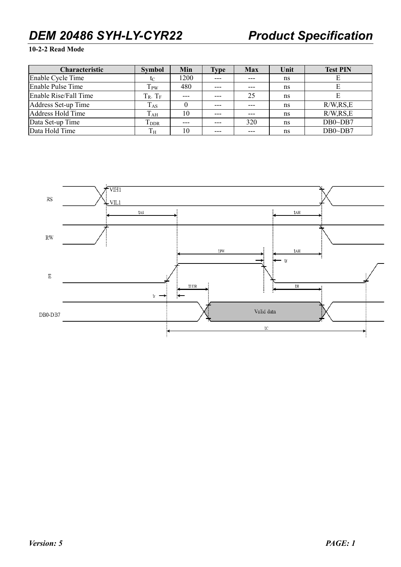### **10-2-2 Read Mode**

| <b>Characteristic</b> | <b>Symbol</b>           | Min      | <b>Type</b> | <b>Max</b> | Unit | <b>Test PIN</b> |
|-----------------------|-------------------------|----------|-------------|------------|------|-----------------|
| Enable Cycle Time     | $t_{\rm C}$             | 1200     |             | $---$      | ns   |                 |
| Enable Pulse Time     | T <sub>PW</sub>         | 480      | ---         | ---        | ns   |                 |
| Enable Rise/Fall Time | $T_R$ , $T_F$           | $---$    |             | 25         | ns   |                 |
| Address Set-up Time   | $T_{AS}$                | $\bf{0}$ | $---$       | $---$      | ns   | R/W, RS, E      |
| Address Hold Time     | $T_{AH}$                | 10       | $---$       | $---$      | ns   | R/W, RS, E      |
| Data Set-up Time      | <b>T</b> <sub>DDR</sub> | $---$    | $---$       | 320        | ns   | $DB0\neg DB7$   |
| Data Hold Time        | $T_{\rm H}$             | 10       |             | ---        | ns   | $DB0\neg DB7$   |

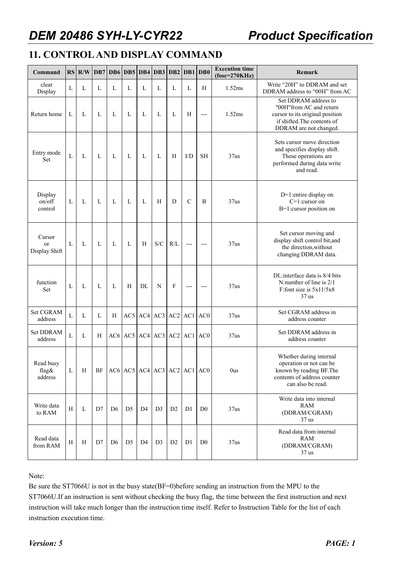# **11. CONTROL AND DISPLAY COMMAND**

| Command                       |   | $RS$ $R/W$ | DB7 |                | DB6 DB5 DB4 DB3 |                |                | $DB2$ DB1 DB0                             |                |                 | <b>Execution time</b><br>$fose=270KHz$ | Remark                                                                                                                                      |
|-------------------------------|---|------------|-----|----------------|-----------------|----------------|----------------|-------------------------------------------|----------------|-----------------|----------------------------------------|---------------------------------------------------------------------------------------------------------------------------------------------|
| clear<br>Display              | L | L          | L   | L              | L               | L              | L              | L                                         | L              | H               | 1.52ms                                 | Write "20H" to DDRAM and set<br>DDRAM address to "00H" from AC                                                                              |
| Return home                   | L | L          | L   | L              | L               | L              | L              | L                                         | H              | $---$           | 1.52ms                                 | Set DDRAM address to<br>"00H"from AC and return<br>cursor to its original position<br>if shifted. The contents of<br>DDRAM are not changed. |
| Entry mode<br>Set             | L | L          | L   | L              | L               | L              | L              | H                                         | I/D            | <b>SH</b>       | 37us                                   | Sets cursor move direction<br>and specifies display shift.<br>These operations are<br>performed during data write<br>and read.              |
| Display<br>on/off<br>control  | L | L          | L   | L              | L               | L              | H              | D                                         | $\mathcal{C}$  | B               | 37us                                   | D=1:entire display on<br>$C=1$ : cursor on<br>B=1:cursor position on                                                                        |
| Cursor<br>or<br>Display Shift | L | L          | L   | L              | L               | H              | S/C            | R/L                                       | $\overline{a}$ | $---$           | 37us                                   | Set cursor moving and<br>display shift control bit, and<br>the direction, without<br>changing DDRAM data.                                   |
| function<br>Set               | L | L          | L   | L              | H               | DL             | N              | F                                         | $---$          | $---$           | 37us                                   | DL:interface data is 8/4 bits<br>N:number of line is 2/1<br>F:font size is $5x11/5x8$<br>37 <sub>us</sub>                                   |
| Set CGRAM<br>address          | L | L          | L   | H              | AC5             | AC4            | AC3            | AC2                                       | AC1            | AC <sub>0</sub> | 37us                                   | Set CGRAM address in<br>address counter                                                                                                     |
| Set DDRAM<br>address          | L | L          | H   |                |                 |                |                | $AC6$ $AC5$ $AC4$ $AC3$ $AC2$ $AC1$ $AC0$ |                |                 | 37us                                   | Set DDRAM address in<br>address counter                                                                                                     |
| Read busy<br>flag&<br>address | L | H          | BF  |                |                 |                |                | $AC6$ $AC5$ $AC4$ $AC3$ $AC2$ $AC1$ $AC0$ |                |                 | 0us                                    | Whether during internal<br>operation or not can be<br>known by reading BF. The<br>contents of address counter<br>can also be read.          |
| Write data<br>to RAM          | H | L          | D7  | D <sub>6</sub> | D <sub>5</sub>  | D <sub>4</sub> | D <sub>3</sub> | D <sub>2</sub>                            | D <sub>1</sub> | D <sub>0</sub>  | 37us                                   | Write data into internal<br><b>RAM</b><br>(DDRAM/CGRAM)<br>37 <sub>us</sub>                                                                 |
| Read data<br>from RAM         | H | Η          | D7  | D <sub>6</sub> | D <sub>5</sub>  | D <sub>4</sub> | D <sub>3</sub> | D2                                        | D <sub>1</sub> | D <sub>0</sub>  | 37us                                   | Read data from internal<br>RAM<br>(DDRAM/CGRAM)<br>$37$ us                                                                                  |

Note:

Be sure the ST7066U is not in the busy state(BF=0)before sending an instruction from the MPU to the ST7066U.If an instruction is sent without checking the busy flag, the time between the first instruction and next instruction will take much longer than the instruction time itself. Refer to Instruction Table for the list of each instruction execution time.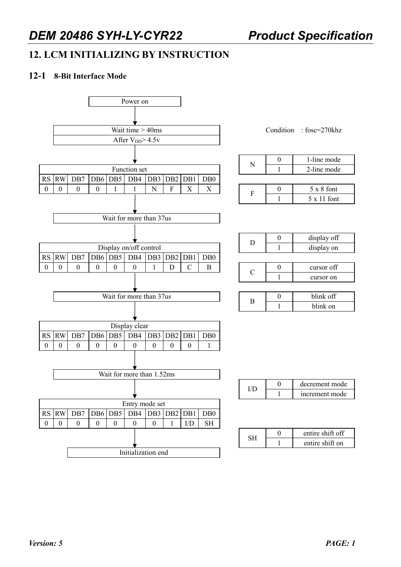# **12. LCM INITIALIZING BY INSTRUCTION**

#### **12-1 8-Bit Interface Mode**



|  | 1-line mode       |
|--|-------------------|
|  | 2-line mode       |
|  |                   |
|  | $5 \times 8$ font |

 $1 \quad 5 \times 11$  font

| ו ו | display off |
|-----|-------------|
|     | display on  |
|     |             |
|     | cursor off  |
|     | cursor on   |
|     |             |

|  | blink off |
|--|-----------|
|  | blink on  |

|  | decrement mode |
|--|----------------|
|  | increment mode |

|  | entire shift off |
|--|------------------|
|  | entire shift on  |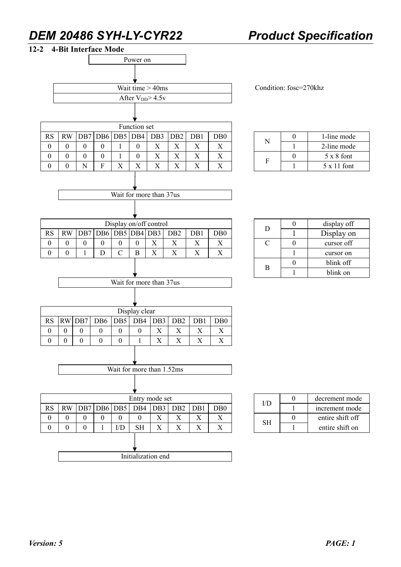

|  | 1-line mode        |
|--|--------------------|
|  | 2-line mode        |
|  | $5 \times 8$ font  |
|  | $5 \times 11$ font |

| Ð | display off |
|---|-------------|
|   | Display on  |
|   | cursor off  |
|   | cursor on   |
| R | blink off   |
|   | blink on    |

|    | decrement mode   |
|----|------------------|
|    | increment mode   |
| ςн | entire shift off |
|    | entire shift on  |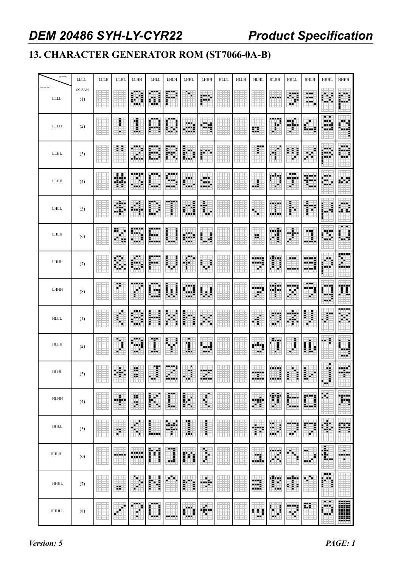# **13. CHARACTER GENERATOR ROM (ST7066-0A-B)**

| Upper(4bit)                 | <b>LLLL</b>   | LLLH | <b>LLHL</b>    | LLHH          | LHLL           | LHLH    | LHHL                 | LHHH       | <b>HLLL</b> | <b>HLLH</b> | <b>HLHL</b>      | <b>HLHH</b>   | <b>HHLL</b>  | <b>HHLH</b>         | <b>HHHL</b>             | HHHH                  |
|-----------------------------|---------------|------|----------------|---------------|----------------|---------|----------------------|------------|-------------|-------------|------------------|---------------|--------------|---------------------|-------------------------|-----------------------|
| Lowerr(4bit)<br><b>LLLL</b> | CG RAM<br>(1) |      |                | 手             | ł<br>H.        | H       |                      | 賱          |             |             |                  |               | W<br>Ŧ.      | <br>---<br>нe,<br>Ħ |                         |                       |
| <b>LLLH</b>                 | (2)           |      | 宯<br>E         | I             |                |         | Þ.<br>œ              |            |             |             | 亞                | ŧ             | m            |                     | <br>a a sh              |                       |
| <b>LLHL</b>                 | (3)           |      | Ŧ.             | مبر<br>39.    | H              |         | I.                   | Ē<br>اللوي |             |             | Ŧ.               |               | ŧ            |                     | --<br>۰.                | alari g               |
| LLHH                        | (4)           |      | #              | M<br>a sia    | a ala          | - - - - | a da                 | œ,<br>     |             |             | H                | m<br>F        | ---<br>Ħ     | W                   | a ata                   |                       |
| <b>LHLL</b>                 | (5)           |      | ÷              | đ<br>Ξ        | i.<br>E        | I       | Ē                    | E          |             |             |                  | man i         | i            | Ī                   |                         |                       |
| LHLH                        | (6)           |      | 99<br>F.<br>Ŧ. | 89<br>a in p  | 距<br>----      | ⊪<br>Ì  | <b>Servit</b><br>--- | Ш          |             |             | ×                | ĦĦ            |              | m                   | 99<br>ч                 | Ħ                     |
| LHHL                        | (7)           |      | 毒              | 55            |                | 4       |                      | ij.        |             |             | 輣                | Ħ             | <br>.        |                     |                         |                       |
| LHHH                        | (8)           |      | Ŧ,             |               |                | į<br>i  | H<br>۰.              | m          |             |             | a sin s          | 88<br>Ē       | ----         | .<br>995<br>H.      | <b></b>                 | I                     |
| <b>HLLL</b>                 | (1)           |      | Ŧ              | .<br>₽        | F<br>i         | F       | i                    | 霉          |             |             | Ť                | ø<br>₫'       | ⊕            | F<br>Ē              | r                       |                       |
| <b>HLLH</b>                 | (2)           |      | н<br>i         | æ             | I              | Ξ       | ı                    | الله       |             |             |                  | 羃             |              | i.                  | ŧ.<br>a alt             | =<br>=<br>=<br>alah s |
| <b>HLHL</b>                 | $(3)$         |      | H.             | H.            | Ŧ<br>۰.        | برنانة  | л<br>÷<br>m.         | . .<br>an, |             |             |                  | -----<br>---- |              |                     | ٠<br>H.<br>Ŧ,           |                       |
| <b>HLHH</b>                 | (4)           |      | ш              | H.<br>E       | i              | E       | İ<br>F.<br>F.        | ī          |             |             |                  | Ħ             | H<br>واداداه | m                   |                         | .<br>يبينا            |
| <b>HHLL</b>                 | (5)           |      | Ħ              | H<br>н<br>₠   | E              | H       | i.                   | I          |             |             | H                | H)<br>ĭ<br>   | 輣<br>н.      | 臘<br>щ              | H.                      | ₩                     |
| <b>HHLH</b>                 | (6)           |      | dш<br>---      | -----<br>---- | Ħ              | E.      | m                    | H          |             |             | ш.               | ₩<br>×        | Ξ<br>н       | a a<br>€            | 嚸                       | <br>E.                |
| <b>HHHL</b>                 | (7)           |      | 99             | ۰             | i              | ×       | i                    | H          |             |             | m<br><b>SALE</b> | Ħ             | m            | T.                  | <b>BBB</b>              |                       |
| <b>HHHH</b>                 | (8)           |      | 95             | <br>E<br>Ħ    | <br>i<br>- - - | .       | <br>a a s            | ш.         |             |             | н<br>E<br>н.     | Î<br>m e      | ing,         | m                   | <b>Barba</b><br>ш.<br>. | E                     |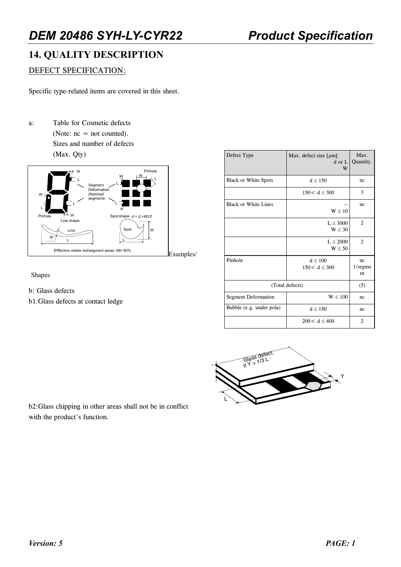# **14. QUALITY DESCRIPTION**

#### DEFECT SPECIFICATION:

Specific type-related items are covered in this sheet.

a: Table for Cosmetic defects (Note:  $nc = not counted$ ). Sizes and number of defects (Max. Qty)



Shapes

- b: Glass defects
- b1:Glass defects at contact ledge

| Defect Type                 | Max. defect size $\lceil \mu m \rceil$<br>d or L<br>W | Max.<br>Quantity.            |
|-----------------------------|-------------------------------------------------------|------------------------------|
| Black or White Spots        | $d \leq 150$                                          | nc                           |
|                             | 150 < d < 300                                         | 3                            |
| <b>Black or White Lines</b> | $W \leq 10$                                           | nc                           |
|                             | $L \leq 3000$<br>$W \leq 30$                          | $\overline{2}$               |
|                             | $L \leq 2000$<br>$W \leq 50$                          | $\overline{2}$               |
| Pinhole                     | $d \leq 100$<br>$150 < d \leq 300$                    | nc<br>$1/\text{segne}$<br>nt |
| (Total defects)             | (5)                                                   |                              |
| Segment Deformation         | W < 100                                               | nc                           |
| Bubble (e.g. under pola)    | $d \leq 150$                                          | nc                           |
|                             | $200 < d \leq 400$                                    | 2                            |



b2:Glass chipping in other areas shall not be in conflict with the product's function.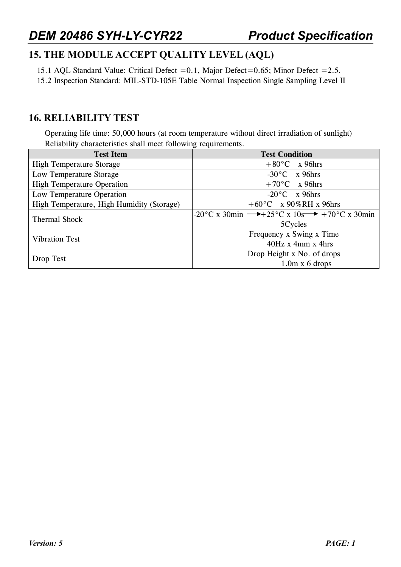# **15. THE MODULE ACCEPT QUALITY LEVEL (AQL)**

15.1 AQL Standard Value: Critical Defect =0.1, Major Defect=0.65; Minor Defect =2.5.

15.2 Inspection Standard: MIL-STD-105E Table Normal Inspection Single Sampling Level II

# **16. RELIABILITY TEST**

Operating life time: 50,000 hours (at room temperature without direct irradiation of sunlight) Reliability characteristics shall meet following requirements.

| <b>Test Item</b>                          | <b>Test Condition</b>                                                                      |  |  |  |  |
|-------------------------------------------|--------------------------------------------------------------------------------------------|--|--|--|--|
| <b>High Temperature Storage</b>           | $+80^{\circ}$ C x 96hrs                                                                    |  |  |  |  |
| Low Temperature Storage                   | $-30^{\circ}$ C x 96hrs                                                                    |  |  |  |  |
| <b>High Temperature Operation</b>         | $+70^{\circ}$ C x 96hrs                                                                    |  |  |  |  |
| Low Temperature Operation                 | $-20^{\circ}$ C x 96hrs                                                                    |  |  |  |  |
| High Temperature, High Humidity (Storage) | $+60^{\circ}$ C x 90%RH x 96hrs                                                            |  |  |  |  |
| <b>Thermal Shock</b>                      | $-20\degree C$ x 30min $\rightarrow +25\degree C$ x 10s $\rightarrow +70\degree C$ x 30min |  |  |  |  |
|                                           | 5Cycles                                                                                    |  |  |  |  |
| <b>Vibration Test</b>                     | Frequency x Swing x Time                                                                   |  |  |  |  |
|                                           | $40Hz \times 4mm \times 4hrs$                                                              |  |  |  |  |
|                                           | Drop Height x No. of drops                                                                 |  |  |  |  |
| Drop Test                                 | $1.0m \times 6$ drops                                                                      |  |  |  |  |